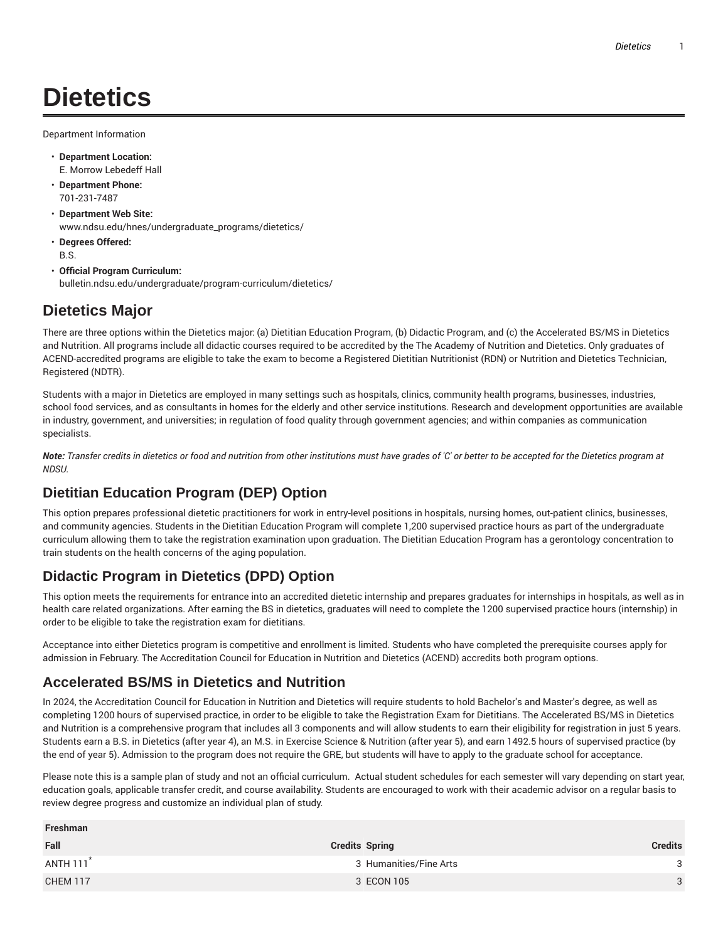# **Dietetics**

Department Information

- **Department Location:** E. Morrow Lebedeff Hall
- **Department Phone:** 701-231-7487
- **Department Web Site:** www.ndsu.edu/hnes/undergraduate\_programs/dietetics/
- **Degrees Offered:** B.S.
- **Official Program Curriculum:** bulletin.ndsu.edu/undergraduate/program-curriculum/dietetics/

# **Dietetics Major**

There are three options within the Dietetics major: (a) Dietitian Education Program, (b) Didactic Program, and (c) the Accelerated BS/MS in Dietetics and Nutrition. All programs include all didactic courses required to be accredited by the The Academy of Nutrition and Dietetics. Only graduates of ACEND-accredited programs are eligible to take the exam to become a Registered Dietitian Nutritionist (RDN) or Nutrition and Dietetics Technician, Registered (NDTR).

Students with a major in Dietetics are employed in many settings such as hospitals, clinics, community health programs, businesses, industries, school food services, and as consultants in homes for the elderly and other service institutions. Research and development opportunities are available in industry, government, and universities; in regulation of food quality through government agencies; and within companies as communication specialists.

Note: Transfer credits in dietetics or food and nutrition from other institutions must have grades of 'C' or better to be accepted for the Dietetics program at *NDSU.*

## **Dietitian Education Program (DEP) Option**

This option prepares professional dietetic practitioners for work in entry-level positions in hospitals, nursing homes, out-patient clinics, businesses, and community agencies. Students in the Dietitian Education Program will complete 1,200 supervised practice hours as part of the undergraduate curriculum allowing them to take the registration examination upon graduation. The Dietitian Education Program has a gerontology concentration to train students on the health concerns of the aging population.

# **Didactic Program in Dietetics (DPD) Option**

This option meets the requirements for entrance into an accredited dietetic internship and prepares graduates for internships in hospitals, as well as in health care related organizations. After earning the BS in dietetics, graduates will need to complete the 1200 supervised practice hours (internship) in order to be eligible to take the registration exam for dietitians.

Acceptance into either Dietetics program is competitive and enrollment is limited. Students who have completed the prerequisite courses apply for admission in February. The Accreditation Council for Education in Nutrition and Dietetics (ACEND) accredits both program options.

### **Accelerated BS/MS in Dietetics and Nutrition**

In 2024, the Accreditation Council for Education in Nutrition and Dietetics will require students to hold Bachelor's and Master's degree, as well as completing 1200 hours of supervised practice, in order to be eligible to take the Registration Exam for Dietitians. The Accelerated BS/MS in Dietetics and Nutrition is a comprehensive program that includes all 3 components and will allow students to earn their eligibility for registration in just 5 years. Students earn a B.S. in Dietetics (after year 4), an M.S. in Exercise Science & Nutrition (after year 5), and earn 1492.5 hours of supervised practice (by the end of year 5). Admission to the program does not require the GRE, but students will have to apply to the graduate school for acceptance.

Please note this is a sample plan of study and not an official curriculum. Actual student schedules for each semester will vary depending on start year, education goals, applicable transfer credit, and course availability. Students are encouraged to work with their academic advisor on a regular basis to review degree progress and customize an individual plan of study.

| Freshman              |                        |                |
|-----------------------|------------------------|----------------|
| Fall                  | <b>Credits Spring</b>  | <b>Credits</b> |
| ANTH 111 <sup>*</sup> | 3 Humanities/Fine Arts | 3              |
| <b>CHEM 117</b>       | 3 ECON 105             | 3              |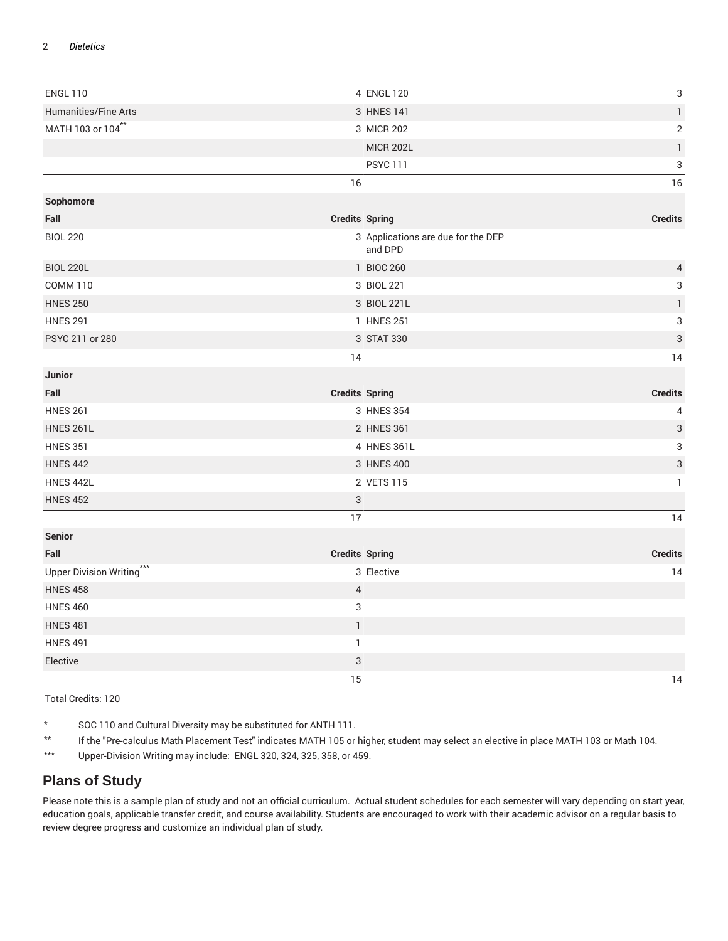#### 2 *Dietetics*

| <b>ENGL 110</b>           | 4 ENGL 120                                    | 3                         |
|---------------------------|-----------------------------------------------|---------------------------|
| Humanities/Fine Arts      | 3 HNES 141                                    | $\mathbbm{1}$             |
| MATH 103 or 104**         | 3 MICR 202                                    | $\sqrt{2}$                |
|                           | <b>MICR 202L</b>                              | $\mathbf{1}$              |
|                           | <b>PSYC 111</b>                               | $\sqrt{3}$                |
|                           | 16                                            | 16                        |
| Sophomore                 |                                               |                           |
| Fall                      | <b>Credits Spring</b>                         | <b>Credits</b>            |
| <b>BIOL 220</b>           | 3 Applications are due for the DEP<br>and DPD |                           |
| <b>BIOL 220L</b>          | 1 BIOC 260                                    | $\overline{4}$            |
| <b>COMM 110</b>           | 3 BIOL 221                                    | 3                         |
| <b>HNES 250</b>           | 3 BIOL 221L                                   | $\mathbbm{1}$             |
| <b>HNES 291</b>           | 1 HNES 251                                    | $\ensuremath{\mathsf{3}}$ |
| PSYC 211 or 280           | 3 STAT 330                                    | $\mathfrak{S}$            |
|                           | 14                                            | 14                        |
| Junior                    |                                               |                           |
| Fall                      | <b>Credits Spring</b>                         | <b>Credits</b>            |
| <b>HNES 261</b>           | 3 HNES 354                                    | 4                         |
|                           |                                               |                           |
| <b>HNES 261L</b>          | 2 HNES 361                                    | $\sqrt{3}$                |
| <b>HNES 351</b>           | 4 HNES 361L                                   | 3                         |
| <b>HNES 442</b>           | 3 HNES 400                                    | $\ensuremath{\mathsf{3}}$ |
| <b>HNES 442L</b>          | 2 VETS 115                                    | $\mathbf{1}$              |
| <b>HNES 452</b>           | 3                                             |                           |
|                           | 17                                            | 14                        |
| <b>Senior</b>             |                                               |                           |
| Fall                      | <b>Credits Spring</b>                         | <b>Credits</b>            |
| Upper Division Writing*** | 3 Elective                                    | 14                        |
| <b>HNES 458</b>           | $\overline{4}$                                |                           |
| <b>HNES 460</b>           | $\sqrt{3}$                                    |                           |
| <b>HNES 481</b>           | $\mathbbm{1}$                                 |                           |
| <b>HNES 491</b>           | $\mathbf{1}$                                  |                           |
| Elective                  | $\ensuremath{\mathsf{3}}$                     |                           |

Total Credits: 120

\* SOC 110 and Cultural Diversity may be substituted for ANTH 111.

\*\* If the "Pre-calculus Math Placement Test" indicates MATH 105 or higher, student may select an elective in place MATH 103 or Math 104.

\*\*\* Upper-Division Writing may include: ENGL 320, 324, 325, 358, or 459.

#### **Plans of Study**

Please note this is a sample plan of study and not an official curriculum. Actual student schedules for each semester will vary depending on start year, education goals, applicable transfer credit, and course availability. Students are encouraged to work with their academic advisor on a regular basis to review degree progress and customize an individual plan of study.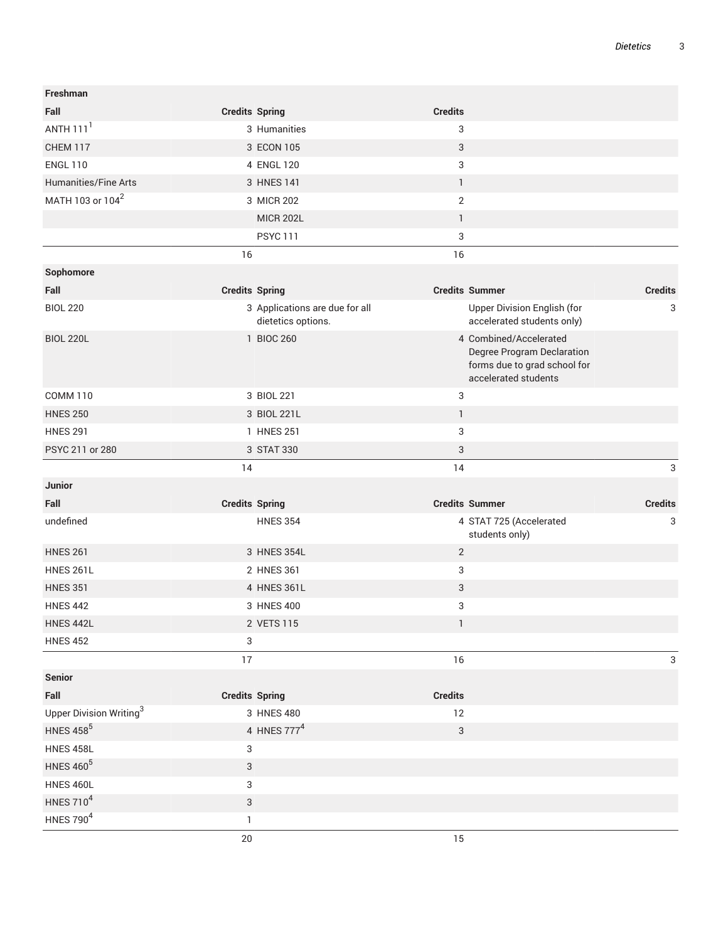| Freshman                            |                       |                                                      |                |                                                                                                              |                |
|-------------------------------------|-----------------------|------------------------------------------------------|----------------|--------------------------------------------------------------------------------------------------------------|----------------|
| Fall                                | <b>Credits Spring</b> |                                                      | <b>Credits</b> |                                                                                                              |                |
| ANTH $1111$                         |                       | 3 Humanities                                         | 3              |                                                                                                              |                |
| <b>CHEM 117</b>                     |                       | 3 ECON 105                                           | $\sqrt{3}$     |                                                                                                              |                |
| <b>ENGL 110</b>                     |                       | 4 ENGL 120                                           | 3              |                                                                                                              |                |
| Humanities/Fine Arts                |                       | 3 HNES 141                                           | $\mathbf{1}$   |                                                                                                              |                |
| MATH 103 or 104 <sup>2</sup>        |                       | 3 MICR 202                                           | 2              |                                                                                                              |                |
|                                     |                       | <b>MICR 202L</b>                                     | $\mathbf{1}$   |                                                                                                              |                |
|                                     |                       | <b>PSYC111</b>                                       | 3              |                                                                                                              |                |
|                                     | 16                    |                                                      | 16             |                                                                                                              |                |
| Sophomore                           |                       |                                                      |                |                                                                                                              |                |
| Fall                                | <b>Credits Spring</b> |                                                      |                | <b>Credits Summer</b>                                                                                        | <b>Credits</b> |
| <b>BIOL 220</b>                     |                       | 3 Applications are due for all<br>dietetics options. |                | Upper Division English (for<br>accelerated students only)                                                    | 3              |
| <b>BIOL 220L</b>                    |                       | 1 BIOC 260                                           |                | 4 Combined/Accelerated<br>Degree Program Declaration<br>forms due to grad school for<br>accelerated students |                |
| <b>COMM 110</b>                     |                       | 3 BIOL 221                                           | 3              |                                                                                                              |                |
| <b>HNES 250</b>                     |                       | 3 BIOL 221L                                          | $\mathbf{1}$   |                                                                                                              |                |
| <b>HNES 291</b>                     |                       | 1 HNES 251                                           | 3              |                                                                                                              |                |
| PSYC 211 or 280                     |                       | 3 STAT 330                                           | 3              |                                                                                                              |                |
|                                     | 14                    |                                                      | 14             |                                                                                                              | 3              |
| Junior                              |                       |                                                      |                |                                                                                                              |                |
| Fall                                | <b>Credits Spring</b> |                                                      |                | <b>Credits Summer</b>                                                                                        | <b>Credits</b> |
| undefined                           |                       | <b>HNES 354</b>                                      |                | 4 STAT 725 (Accelerated<br>students only)                                                                    | 3              |
| <b>HNES 261</b>                     |                       | 3 HNES 354L                                          | $\sqrt{2}$     |                                                                                                              |                |
| <b>HNES 261L</b>                    |                       | 2 HNES 361                                           | 3              |                                                                                                              |                |
| <b>HNES 351</b>                     |                       | 4 HNES 361L                                          | 3              |                                                                                                              |                |
| <b>HNES 442</b>                     |                       | 3 HNES 400                                           | 3              |                                                                                                              |                |
| <b>HNES 442L</b>                    |                       | 2 VETS 115                                           | $\mathbbm{1}$  |                                                                                                              |                |
| <b>HNES 452</b>                     | 3                     |                                                      |                |                                                                                                              |                |
|                                     | 17                    |                                                      | 16             |                                                                                                              | $\mathbf{3}$   |
| <b>Senior</b>                       |                       |                                                      |                |                                                                                                              |                |
| Fall                                |                       | <b>Credits Spring</b>                                | <b>Credits</b> |                                                                                                              |                |
| Upper Division Writing <sup>3</sup> |                       | 3 HNES 480                                           | 12             |                                                                                                              |                |
| <b>HNES 458<sup>5</sup></b>         |                       | 4 HNES 777 <sup>4</sup>                              | $\sqrt{3}$     |                                                                                                              |                |
| <b>HNES 458L</b>                    | $\sqrt{3}$            |                                                      |                |                                                                                                              |                |
| <b>HNES 460<sup>5</sup></b>         | 3                     |                                                      |                |                                                                                                              |                |
| <b>HNES 460L</b>                    | 3                     |                                                      |                |                                                                                                              |                |
| HNES 710 <sup>4</sup>               | 3                     |                                                      |                |                                                                                                              |                |
| HNES 790 <sup>4</sup>               | $\mathbf{1}$          |                                                      |                |                                                                                                              |                |
|                                     | $20\,$                |                                                      | 15             |                                                                                                              |                |